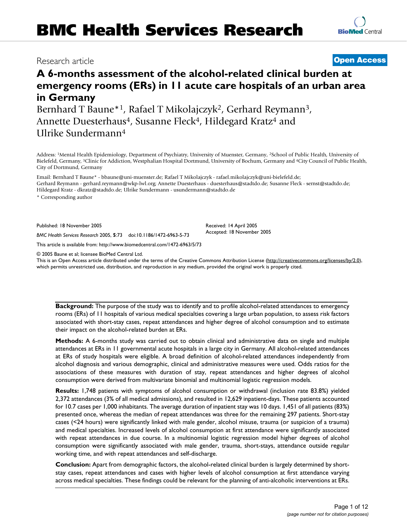# Research article **[Open Access](http://www.biomedcentral.com/info/about/charter/)**

# **A 6-months assessment of the alcohol-related clinical burden at emergency rooms (ERs) in 11 acute care hospitals of an urban area in Germany**

Bernhard T Baune<sup>\*1</sup>, Rafael T Mikolajczyk<sup>2</sup>, Gerhard Reymann<sup>3</sup>, Annette Duesterhaus<sup>4</sup>, Susanne Fleck<sup>4</sup>, Hildegard Kratz<sup>4</sup> and Ulrike Sundermann4

Address: 1Mental Health Epidemiology, Department of Psychiatry, University of Muenster, Germany, 2School of Public Health, University of Bielefeld, Germany, 3Clinic for Addiction, Westphalian Hospital Dortmund, University of Bochum, Germany and 4City Council of Public Health, City of Dortmund, Germany

Email: Bernhard T Baune\* - bbaune@uni-muenster.de; Rafael T Mikolajczyk - rafael.mikolajczyk@uni-bielefeld.de; Gerhard Reymann - gerhard.reymann@wkp-lwl.org; Annette Duesterhaus - duesterhaus@stadtdo.de; Susanne Fleck - sernst@stadtdo.de; Hildegard Kratz - dkratz@stadtdo.de; Ulrike Sundermann - usundermann@stadtdo.de

\* Corresponding author

Published: 18 November 2005

*BMC Health Services Research* 2005, **5**:73 doi:10.1186/1472-6963-5-73

[This article is available from: http://www.biomedcentral.com/1472-6963/5/73](http://www.biomedcentral.com/1472-6963/5/73)

© 2005 Baune et al; licensee BioMed Central Ltd.

This is an Open Access article distributed under the terms of the Creative Commons Attribution License [\(http://creativecommons.org/licenses/by/2.0\)](http://creativecommons.org/licenses/by/2.0), which permits unrestricted use, distribution, and reproduction in any medium, provided the original work is properly cited.

Received: 14 April 2005 Accepted: 18 November 2005

**Background:** The purpose of the study was to identify and to profile alcohol-related attendances to emergency rooms (ERs) of 11 hospitals of various medical specialties covering a large urban population, to assess risk factors associated with short-stay cases, repeat attendances and higher degree of alcohol consumption and to estimate their impact on the alcohol-related burden at ERs.

**Methods:** A 6-months study was carried out to obtain clinical and administrative data on single and multiple attendances at ERs in 11 governmental acute hospitals in a large city in Germany. All alcohol-related attendances at ERs of study hospitals were eligible. A broad definition of alcohol-related attendances independently from alcohol diagnosis and various demographic, clinical and administrative measures were used. Odds ratios for the associations of these measures with duration of stay, repeat attendances and higher degrees of alcohol consumption were derived from multivariate binomial and multinomial logistic regression models.

**Results:** 1,748 patients with symptoms of alcohol consumption or withdrawal (inclusion rate 83.8%) yielded 2,372 attendances (3% of all medical admissions), and resulted in 12,629 inpatient-days. These patients accounted for 10.7 cases per 1,000 inhabitants. The average duration of inpatient stay was 10 days. 1,451 of all patients (83%) presented once, whereas the median of repeat attendances was three for the remaining 297 patients. Short-stay cases (<24 hours) were significantly linked with male gender, alcohol misuse, trauma (or suspicion of a trauma) and medical specialties. Increased levels of alcohol consumption at first attendance were significantly associated with repeat attendances in due course. In a multinomial logistic regression model higher degrees of alcohol consumption were significantly associated with male gender, trauma, short-stays, attendance outside regular working time, and with repeat attendances and self-discharge.

**Conclusion:** Apart from demographic factors, the alcohol-related clinical burden is largely determined by shortstay cases, repeat attendances and cases with higher levels of alcohol consumption at first attendance varying across medical specialties. These findings could be relevant for the planning of anti-alcoholic interventions at ERs.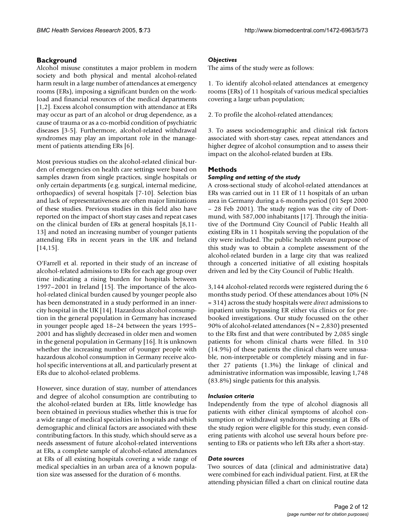# **Background**

Alcohol misuse constitutes a major problem in modern society and both physical and mental alcohol-related harm result in a large number of attendances at emergency rooms (ERs), imposing a significant burden on the workload and financial resources of the medical departments [1,2]. Excess alcohol consumption with attendance at ERs may occur as part of an alcohol or drug dependence, as a cause of trauma or as a co-morbid condition of psychiatric diseases [3-5]. Furthermore, alcohol-related withdrawal syndromes may play an important role in the management of patients attending ERs [6].

Most previous studies on the alcohol-related clinical burden of emergencies on health care settings were based on samples drawn from single practices, single hospitals or only certain departments (e.g. surgical, internal medicine, orthopaedics) of several hospitals [7-10]. Selection bias and lack of representativeness are often major limitations of these studies. Previous studies in this field also have reported on the impact of short stay cases and repeat cases on the clinical burden of ERs at general hospitals [8,11- 13] and noted an increasing number of younger patients attending ERs in recent years in the UK and Ireland [14,15].

O'Farrell et al. reported in their study of an increase of alcohol-related admissions to ERs for each age group over time indicating a rising burden for hospitals between 1997–2001 in Ireland [15]. The importance of the alcohol-related clinical burden caused by younger people also has been demonstrated in a study performed in an innercity hospital in the UK [14]. Hazardous alcohol consumption in the general population in Germany has increased in younger people aged 18–24 between the years 1995– 2001 and has slightly decreased in older men and women in the general population in Germany [16]. It is unknown whether the increasing number of younger people with hazardous alcohol consumption in Germany receive alcohol specific interventions at all, and particularly present at ERs due to alcohol-related problems.

However, since duration of stay, number of attendances and degree of alcohol consumption are contributing to the alcohol-related burden at ERs, little knowledge has been obtained in previous studies whether this is true for a wide range of medical specialties in hospitals and which demographic and clinical factors are associated with these contributing factors. In this study, which should serve as a needs assessment of future alcohol-related interventions at ERs, a complete sample of alcohol-related attendances at ERs of all existing hospitals covering a wide range of medical specialties in an urban area of a known population size was assessed for the duration of 6 months.

### *Objectives*

The aims of the study were as follows:

1. To identify alcohol-related attendances at emergency rooms (ERs) of 11 hospitals of various medical specialties covering a large urban population;

2. To profile the alcohol-related attendances;

3. To assess sociodemographic and clinical risk factors associated with short-stay cases, repeat attendances and higher degree of alcohol consumption and to assess their impact on the alcohol-related burden at ERs.

# **Methods**

### *Sampling and setting of the study*

A cross-sectional study of alcohol-related attendances at ERs was carried out in 11 ER of 11 hospitals of an urban area in Germany during a 6-months period (01 Sept 2000 – 28 Feb 2001). The study region was the city of Dortmund, with 587,000 inhabitants [17]. Through the initiative of the Dortmund City Council of Public Health all existing ERs in 11 hospitals serving the population of the city were included. The public health relevant purpose of this study was to obtain a complete assessment of the alcohol-related burden in a large city that was realized through a concerted initiative of all existing hospitals driven and led by the City Council of Public Health.

3,144 alcohol-related records were registered during the 6 months study period. Of these attendances about 10% (N = 314) across the study hospitals were *direct* admissions to inpatient units bypassing ER either via clinics or for prebooked investigations. Our study focussed on the other 90% of alcohol-related attendances (N = 2,830) presented to the ERs first and that were contributed by 2,085 single patients for whom clinical charts were filled. In 310 (14.9%) of these patients the clinical charts were unusable, non-interpretable or completely missing and in further 27 patients (1.3%) the linkage of clinical and administrative information was impossible, leaving 1,748 (83.8%) single patients for this analysis.

#### *Inclusion criteria*

Independently from the type of alcohol diagnosis all patients with either clinical symptoms of alcohol consumption or withdrawal syndrome presenting at ERs of the study region were eligible for this study, even considering patients with alcohol use several hours before presenting to ERs or patients who left ERs after a short-stay.

#### *Data sources*

Two sources of data (clinical and administrative data) were combined for each individual patient. First, at ER the attending physician filled a chart on clinical routine data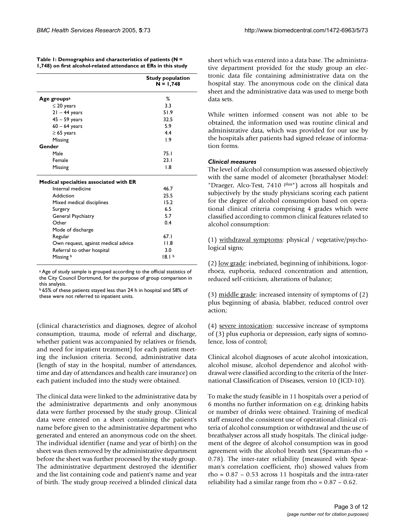| Table 1: Demographics and characteristics of patients ( $N =$   |
|-----------------------------------------------------------------|
| 1,748) on first alcohol-related attendance at ERs in this study |

|                                        | <b>Study population</b><br>$N = 1,748$ |
|----------------------------------------|----------------------------------------|
| Age groups <sup>a</sup>                | %                                      |
| $\leq$ 20 years                        | 3.3                                    |
| $21 - 44$ years                        | 51.9                                   |
| $45 - 59$ years                        | 32.5                                   |
| $60 - 64$ years                        | 5.9                                    |
| $\geq 65$ years                        | 4.4                                    |
| Missing                                | 1.9                                    |
| Gender                                 |                                        |
| Male                                   | 75.I                                   |
| Female                                 | 23.1                                   |
| Missing                                | 1.8                                    |
| Medical specialties associated with ER |                                        |
| Internal medicine                      | 46.7                                   |
| Addiction                              | 25.5                                   |
| Mixed medical disciplines              | 15.2                                   |
| Surgery                                | 6.5                                    |
| General Psychiatry                     | 5.7                                    |
| Other                                  | 0.4                                    |
| Mode of discharge                      |                                        |
| Regular                                | 67.1                                   |
| Own request, against medical advice    | 11.8                                   |
| Referral to other hospital             | 3.0                                    |
| Missing b                              | 18.1 <sup>b</sup>                      |

<sup>a</sup> Age of study sample is grouped according to the official statistics of the City Council Dortmund, for the purpose of group comparison in this analysis.

b 65% of these patients stayed less than 24 h in hospital and 58% of these were not referred to inpatient units.

(clinical characteristics and diagnoses, degree of alcohol consumption, trauma, mode of referral and discharge, whether patient was accompanied by relatives or friends, and need for inpatient treatment) for each patient meeting the inclusion criteria. Second, administrative data (length of stay in the hospital, number of attendances, time and day of attendances and health care insurance) on each patient included into the study were obtained.

The clinical data were linked to the administrative data by the administrative departments and only anonymous data were further processed by the study group. Clinical data were entered on a sheet containing the patient's name before given to the administrative department who generated and entered an anonymous code on the sheet. The individual identifier (name and year of birth) on the sheet was then removed by the administrative department before the sheet was further processed by the study group. The administrative department destroyed the identifier and the list containing code and patient's name and year of birth. The study group received a blinded clinical data

sheet which was entered into a data base. The administrative department provided for the study group an electronic data file containing administrative data on the hospital stay. The anonymous code on the clinical data sheet and the administrative data was used to merge both data sets.

While written informed consent was not able to be obtained, the information used was routine clinical and administrative data, which was provided for our use by the hospitals after patients had signed release of information forms.

#### *Clinical measures*

The level of alcohol consumption was assessed objectively with the same model of alcometer (breathalyser Model: "Draeger, Alco-Test, 7410 plus") across all hospitals and subjectively by the study physicians scoring each patient for the degree of alcohol consumption based on operational clinical criteria comprising 4 grades which were classified according to common clinical features related to alcohol consumption:

(1) withdrawal symptoms: physical / vegetative/psychological signs;

(2) low grade: inebriated, beginning of inhibitions, logorrhoea, euphoria, reduced concentration and attention, reduced self-criticism, alterations of balance;

(3) middle grade: increased intensity of symptoms of (2) plus beginning of abasia, blabber, reduced control over action;

(4) severe intoxication: successive increase of symptoms of (3) plus euphoria or depression, early signs of somnolence, loss of control;

Clinical alcohol diagnoses of acute alcohol intoxication, alcohol misuse, alcohol dependence and alcohol withdrawal were classified according to the criteria of the International Classification of Diseases, version 10 (ICD-10).

To make the study feasible in 11 hospitals over a period of 6 months no further information on e.g. drinking habits or number of drinks were obtained. Training of medical staff ensured the consistent use of operational clinical criteria of alcohol consumption or withdrawal and the use of breathalyser across all study hospitals. The clinical judgement of the degree of alcohol consumption was in good agreement with the alcohol breath test (Spearman-rho = 0.78). The inter-rater reliability (measured with Spearman's correlation coefficient, rho) showed values from rho = 0.87 – 0.53 across 11 hospitals and the intra-rater reliability had a similar range from rho = 0.87 – 0.62.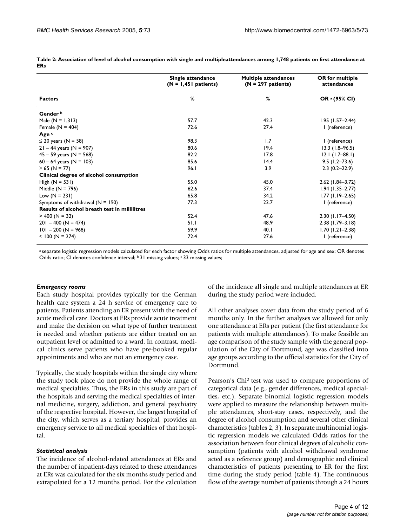|                                               | Single attendance<br>$(N = 1, 451$ patients) | <b>Multiple attendances</b><br>$(N = 297$ patients) | OR for multiple<br>attendances |
|-----------------------------------------------|----------------------------------------------|-----------------------------------------------------|--------------------------------|
| <b>Factors</b>                                | %                                            | %                                                   | OR <sup>a</sup> (95% CI)       |
| Gender <sup>b</sup>                           |                                              |                                                     |                                |
| Male $(N = 1,313)$                            | 57.7                                         | 42.3                                                | $1.95(1.57-2.44)$              |
| Female ( $N = 404$ )                          | 72.6                                         | 27.4                                                | I (reference)                  |
| Age c                                         |                                              |                                                     |                                |
| $\leq$ 20 years (N = 58)                      | 98.3                                         | 1.7                                                 | I (reference)                  |
| $21 - 44$ years (N = 907)                     | 80.6                                         | 19.4                                                | $13.3$ (1.8-96.5)              |
| $45 - 59$ years (N = 568)                     | 82.2                                         | 17.8                                                | $12.1$ (1.7-88.1)              |
| $60 - 64$ years (N = 103)                     | 85.6                                         | 14.4                                                | $9.5(1.2 - 73.6)$              |
| $\geq 65$ (N = 77)                            | 96.1                                         | 3.9                                                 | $2.3(0.2 - 22.9)$              |
| Clinical degree of alcohol consumption        |                                              |                                                     |                                |
| High $(N = 531)$                              | 55.0                                         | 45.0                                                | $2.62$ (1.84-3.72)             |
| Middle $(N = 796)$                            | 62.6                                         | 37.4                                                | $1.94(1.35 - 2.77)$            |
| Low $(N = 231)$                               | 65.8                                         | 34.2                                                | $1.77(1.19 - 2.65)$            |
| Symptoms of withdrawal $(N = 190)$            | 77.3                                         | 22.7                                                | I (reference)                  |
| Results of alcohol breath test in millilitres |                                              |                                                     |                                |
| $> 400$ (N = 32)                              | 52.4                                         | 47.6                                                | $2.30(1.17 - 4.50)$            |
| $201 - 400$ (N = 474)                         | 51.1                                         | 48.9                                                | $2.38(1.79 - 3.18)$            |
| $101 - 200$ (N = 968)                         | 59.9                                         | 40.1                                                | $1.70(1.21 - 2.38)$            |
| $\leq$ 100 (N = 274)                          | 72.4                                         | 27.6                                                | I (reference)                  |

**Table 2: Association of level of alcohol consumption with single and multipleattendances among 1,748 patients on first attendance at ERs**

a separate logistic regression models calculated for each factor showing Odds ratios for multiple attendances, adjusted for age and sex; OR denotes Odds ratio; CI denotes confidence interval; b 31 missing values; c 33 missing values;

#### *Emergency rooms*

Each study hospital provides typically for the German health care system a 24 h service of emergency care to patients. Patients attending an ER present with the need of acute medical care. Doctors at ERs provide acute treatment and make the decision on what type of further treatment is needed and whether patients are either treated on an outpatient level or admitted to a ward. In contrast, medical clinics serve patients who have pre-booked regular appointments and who are not an emergency case.

Typically, the study hospitals within the single city where the study took place do not provide the whole range of medical specialties. Thus, the ERs in this study are part of the hospitals and serving the medical specialties of internal medicine, surgery, addiction, and general psychiatry of the respective hospital. However, the largest hospital of the city, which serves as a tertiary hospital, provides an emergency service to all medical specialties of that hospital.

#### *Statistical analysis*

The incidence of alcohol-related attendances at ERs and the number of inpatient-days related to these attendances at ERs was calculated for the six months study period and extrapolated for a 12 months period. For the calculation

of the incidence all single and multiple attendances at ER during the study period were included.

All other analyses cover data from the study period of 6 months only. In the further analyses we allowed for only one attendance at ERs per patient (the first attendance for patients with multiple attendances). To make feasible an age comparison of the study sample with the general population of the City of Dortmund, age was classified into age groups according to the official statistics for the City of Dortmund.

Pearson's Chi2 test was used to compare proportions of categorical data (e.g., gender differences, medical specialties, etc.). Separate binomial logistic regression models were applied to measure the relationship between multiple attendances, short-stay cases, respectively, and the degree of alcohol consumption and several other clinical characteristics (tables 2, 3). In separate multinomial logistic regression models we calculated Odds ratios for the association between four clinical degrees of alcoholic consumption (patients with alcohol withdrawal syndrome acted as a reference group) and demographic and clinical characteristics of patients presenting to ER for the first time during the study period (table 4). The continuous flow of the average number of patients through a 24 hours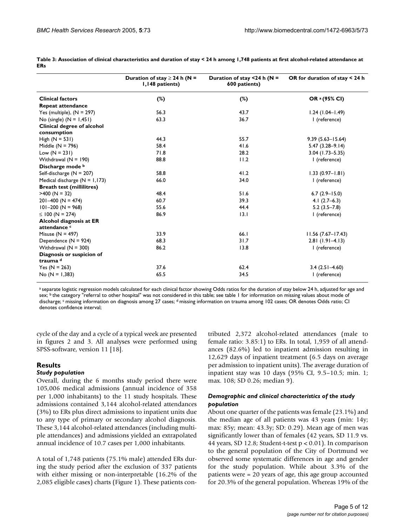|                                                  | Duration of stay $\geq$ 24 h (N =<br>I, 148 patients) | Duration of stay <24 h ( $N =$<br>600 patients) | OR for duration of stay $<$ 24 h |
|--------------------------------------------------|-------------------------------------------------------|-------------------------------------------------|----------------------------------|
| <b>Clinical factors</b>                          | $(\%)$                                                | $(\%)$                                          | OR <sup>a</sup> (95% CI)         |
| <b>Repeat attendance</b>                         |                                                       |                                                 |                                  |
| Yes (multiple), $(N = 297)$                      | 56.3                                                  | 43.7                                            | $1.24$ (1.04–1.49)               |
| No (single) $(N = 1,451)$                        | 63.3                                                  | 36.7                                            | I (reference)                    |
| Clinical degree of alcohol<br>consumption        |                                                       |                                                 |                                  |
| High $(N = 531)$                                 | 44.3                                                  | 55.7                                            | $9.39(5.63 - 15.64)$             |
| Middle $(N = 796)$                               | 58.4                                                  | 41.6                                            | $5.47(3.28 - 9.14)$              |
| Low $(N = 231)$                                  | 71.8                                                  | 28.2                                            | $3.04$ (1.73-5.35)               |
| Withdrawal $(N = 190)$                           | 88.8                                                  | 11.2                                            | I (reference)                    |
| Discharge mode b                                 |                                                       |                                                 |                                  |
| Self-discharge $(N = 207)$                       | 58.8                                                  | 41.2                                            | $1.33(0.97 - 1.81)$              |
| Medical discharge $(N = 1,173)$                  | 66.0                                                  | 34.0                                            | I (reference)                    |
| <b>Breath test (millilitres)</b>                 |                                                       |                                                 |                                  |
| $>400$ (N = 32)                                  | 48.4                                                  | 51.6                                            | $6.7(2.9 - 15.0)$                |
| $201-400$ (N = 474)                              | 60.7                                                  | 39.3                                            | 4.1 $(2.7-6.3)$                  |
| $101 - 200$ (N = 968)                            | 55.6                                                  | 44.4                                            | $5.2(3.5 - 7.8)$                 |
| $\leq$ 100 (N = 274)                             | 86.9                                                  | 13.1                                            | I (reference)                    |
| Alcohol diagnosis at ER                          |                                                       |                                                 |                                  |
| attendance c                                     |                                                       |                                                 |                                  |
| Misuse $(N = 497)$                               | 33.9                                                  | 66.1                                            | $11.56(7.67-17.43)$              |
| Dependence (N = 924)                             | 68.3                                                  | 31.7                                            | $2.81(1.91 - 4.13)$              |
| Withdrawal $(N = 300)$                           | 86.2                                                  | 13.8                                            | I (reference)                    |
| Diagnosis or suspicion of<br>trauma <sup>d</sup> |                                                       |                                                 |                                  |
| Yes ( $N = 263$ )                                | 37.6                                                  | 62.4                                            | $3.4(2.51 - 4.60)$               |
| $No (N = 1,383)$                                 | 65.5                                                  | 34.5                                            | I (reference)                    |

**Table 3: Association of clinical characteristics and duration of stay < 24 h among 1,748 patients at first alcohol-related attendance at ERs** 

a separate logistic regression models calculated for each clinical factor showing Odds ratios for the duration of stay below 24 h, adjusted for age and sex; <sup>b</sup> the category "referral to other hospital" was not considered in this table; see table 1 for information on missing values about mode of discharge; c missing information on diagnosis among 27 cases; d missing information on trauma among 102 cases; OR denotes Odds ratio; CI denotes confidence interval;

cycle of the day and a cycle of a typical week are presented in figures 2 and 3. All analyses were performed using SPSS-software, version 11 [18].

#### **Results**

# *Study population*

Overall, during the 6 months study period there were 105,006 medical admissions (annual incidence of 358 per 1,000 inhabitants) to the 11 study hospitals. These admissions contained 3,144 alcohol-related attendances (3%) to ERs plus direct admissions to inpatient units due to any type of primary or secondary alcohol diagnosis. These 3,144 alcohol-related attendances (including multiple attendances) and admissions yielded an extrapolated annual incidence of 10.7 cases per 1,000 inhabitants.

A total of 1,748 patients (75.1% male) attended ERs during the study period after the exclusion of 337 patients with either missing or non-interpretable (16.2% of the 2,085 eligible cases) charts (Figure 1). These patients contributed 2,372 alcohol-related attendances (male to female ratio: 3.85:1) to ERs. In total, 1,959 of all attendances (82.6%) led to inpatient admission resulting in 12,629 days of inpatient treatment (6.5 days on average per admission to inpatient units). The average duration of inpatient stay was 10 days (95% CI, 9.5–10.5; min. 1; max. 108; SD 0.26; median 9).

#### *Demographic and clinical characteristics of the study population*

About one quarter of the patients was female (23.1%) and the median age of all patients was 43 years (min: 14y; max: 85y; mean: 43.3y; SD: 0.29). Mean age of men was significantly lower than of females (42 years, SD 11.9 vs. 44 years, SD 12.8; Student-t-test p < 0.01). In comparison to the general population of the City of Dortmund we observed some systematic differences in age and gender for the study population. While about 3.3% of the patients were = 20 years of age, this age group accounted for 20.3% of the general population. Whereas 19% of the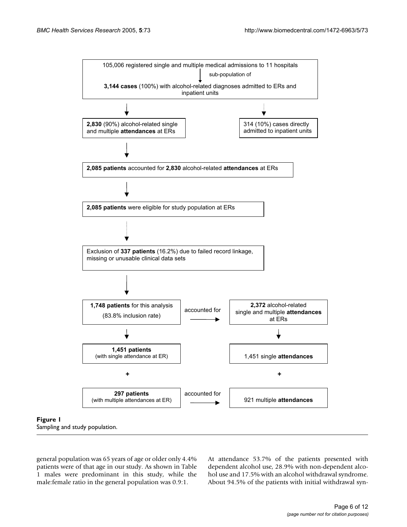

general population was 65 years of age or older only 4.4% patients were of that age in our study. As shown in Table 1 males were predominant in this study, while the male:female ratio in the general population was 0.9:1.

**Figure 1** 

At attendance 53.7% of the patients presented with dependent alcohol use, 28.9% with non-dependent alcohol use and 17.5% with an alcohol withdrawal syndrome. About 94.5% of the patients with initial withdrawal syn-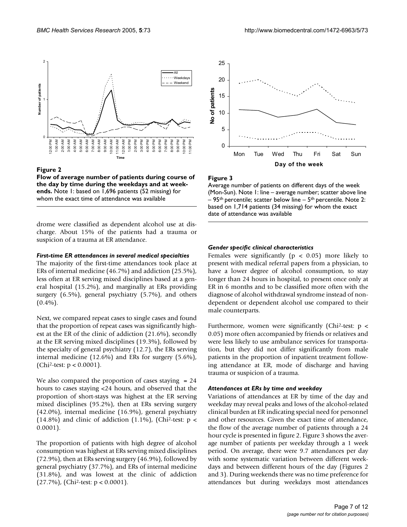

#### Figure 2

**Flow of average number of patients during course of the day by time during the weekdays and at weekends.** Note 1: based on 1,696 patients (52 missing) for whom the exact time of attendance was available

drome were classified as dependent alcohol use at discharge. About 15% of the patients had a trauma or suspicion of a trauma at ER attendance.

#### *First-time ER attendances in several medical specialties*

The majority of the first-time attendances took place at ERs of internal medicine (46.7%) and addiction (25.5%), less often at ER serving mixed disciplines based at a general hospital (15.2%), and marginally at ERs providing surgery (6.5%), general psychiatry (5.7%), and others  $(0.4\%)$ .

Next, we compared repeat cases to single cases and found that the proportion of repeat cases was significantly highest at the ER of the clinic of addiction (21.6%), secondly at the ER serving mixed disciplines (19.3%), followed by the specialty of general psychiatry (12.7), the ERs serving internal medicine (12.6%) and ERs for surgery (5.6%), (Chi2-test: p < 0.0001).

We also compared the proportion of cases staying **=** 24 hours to cases staying <24 hours, and observed that the proportion of short-stays was highest at the ER serving mixed disciplines (95.2%), then at ERs serving surgery (42.0%), internal medicine (16.9%), general psychiatry (14.8%) and clinic of addiction (1.1%), (Chi<sup>2</sup>-test:  $p <$ 0.0001).

The proportion of patients with high degree of alcohol consumption was highest at ERs serving mixed disciplines (72.9%), then at ERs serving surgery (46.9%), followed by general psychiatry (37.7%), and ERs of internal medicine (31.8%), and was lowest at the clinic of addiction  $(27.7\%)$ , (Chi<sup>2</sup>-test:  $p < 0.0001$ ).



#### Figure 3

Average number of patients on different days of the week (Mon-Sun). Note 1: line – average number; scatter above line  $-95$ <sup>th</sup> percentile; scatter below line  $-5$ <sup>th</sup> percentile. Note 2: based on 1,714 patients (34 missing) for whom the exact date of attendance was available

#### *Gender specific clinical characteristics*

Females were significantly ( $p < 0.05$ ) more likely to present with medical referral papers from a physician, to have a lower degree of alcohol consumption, to stay longer than 24 hours in hospital, to present once only at ER in 6 months and to be classified more often with the diagnose of alcohol withdrawal syndrome instead of nondependent or dependent alcohol use compared to their male counterparts.

Furthermore, women were significantly (Chi<sup>2</sup>-test:  $p <$ 0.05) more often accompanied by friends or relatives and were less likely to use ambulance services for transportation, but they did not differ significantly from male patients in the proportion of inpatient treatment following attendance at ER, mode of discharge and having trauma or suspicion of a trauma.

#### *Attendances at ERs by time and weekday*

Variations of attendances at ER by time of the day and weekday may reveal peaks and lows of the alcohol-related clinical burden at ER indicating special need for personnel and other resources. Given the exact time of attendance, the flow of the average number of patients through a 24 hour cycle is presented in figure 2. Figure 3 shows the average number of patients per weekday through a 1 week period. On average, there were 9.7 attendances per day with some systematic variation between different weekdays and between different hours of the day (Figures 2 and 3). During weekends there was no time preference for attendances but during weekdays most attendances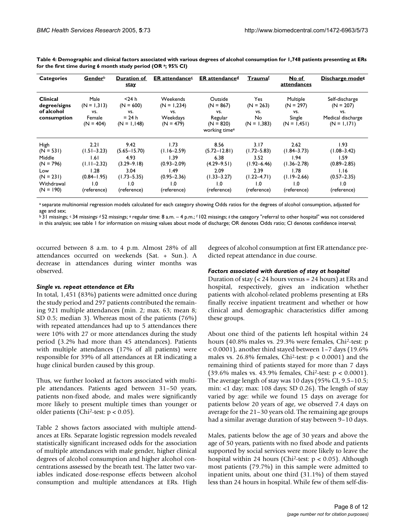| <b>Categories</b>                                                                               | Gender <sup>b</sup>                                                                                 | Duration of<br>stay                                                                                            | <b>ER</b> attendance <sup>c</sup>                                                                   | ER attendanced                                                                                       | Traumaf                                                                                             | No of<br>attendances                                                                                | Discharge mode <sup>g</sup>                                                                         |
|-------------------------------------------------------------------------------------------------|-----------------------------------------------------------------------------------------------------|----------------------------------------------------------------------------------------------------------------|-----------------------------------------------------------------------------------------------------|------------------------------------------------------------------------------------------------------|-----------------------------------------------------------------------------------------------------|-----------------------------------------------------------------------------------------------------|-----------------------------------------------------------------------------------------------------|
| <b>Clinical</b><br>degree/signs<br>of alcohol<br>consumption                                    | Male<br>$(N = 1,313)$<br>VS.<br>Female<br>$(N = 404)$                                               | $<$ 24 h<br>$(N = 600)$<br>VS.<br>$= 24 h$<br>$(N = 1, 148)$                                                   | Weekends<br>$(N = 1,234)$<br>VS.<br>Weekdays<br>$(N = 479)$                                         | Outside<br>$(N = 867)$<br>VS.<br>Regular<br>$(N = 820)$<br>working time <sup>e</sup>                 | Yes<br>$(N = 263)$<br>VS.<br>No<br>$(N = 1,383)$                                                    | Multiple<br>$(N = 297)$<br>VS.<br>Single<br>$(N = 1,451)$                                           | Self-discharge<br>$(N = 207)$<br>VS.<br>Medical discharge<br>$(N = 1, 171)$                         |
| High<br>$(N = 531)$<br>Middle<br>$(N = 796)$<br>Low<br>$(N = 231)$<br>Withdrawal<br>$(N = 190)$ | 2.21<br>$(1.51 - 3.23)$<br>l.61<br>$(1.11 - 2.32)$<br>1.28<br>$(0.84 - 1.95)$<br>1.0<br>(reference) | 9.42<br>$(5.65 - 15.70)$<br>4.93<br>$(3.29 - 9.18)$<br>3.04<br>$(1.73 - 5.35)$<br>$\mathsf{L}0$<br>(reference) | 1.73<br>$(1.16 - 2.59)$<br>1.39<br>$(0.93 - 2.09)$<br>1.49<br>$(0.95 - 2.36)$<br>1.0<br>(reference) | 8.56<br>$(5.72 - 12.81)$<br>6.38<br>$(4.29 - 9.51)$<br>2.09<br>$(1.33 - 3.27)$<br>1.0<br>(reference) | 3.17<br>$(1.72 - 5.83)$<br>3.52<br>$(1.92 - 6.46)$<br>2.39<br>$(1.22 - 4.71)$<br>1.0<br>(reference) | 2.62<br>$(1.84 - 3.73)$<br>I.94<br>$(1.36 - 2.78)$<br>I.78<br>$(1.19 - 2.66)$<br>1.0<br>(reference) | 1.93<br>$(1.08 - 3.42)$<br>1.59<br>$(0.89 - 2.85)$<br>1.16<br>$(0.57 - 2.35)$<br>1.0<br>(reference) |

**Table 4: Demographic and clinical factors associated with various degrees of alcohol consumption for 1,748 patients presenting at ERs for the first time during 6 month study period (OR a; 95% CI)**

a separate multinomial regression models calculated for each category showing Odds ratios for the degrees of alcohol consumption, adjusted for age and sex;

b 31 missings; <sup>c</sup> 34 missings<sup>; d</sup> 52 missings; <sup>e</sup> regular time: 8 a.m. - 4 p.m.; f 102 missings;  $\epsilon$  the category "referral to other hospital" was not considered in this analysis; see table 1 for information on missing values about mode of discharge; OR denotes Odds ratio; CI denotes confidence interval;

occurred between 8 a.m. to 4 p.m. Almost 28% of all attendances occurred on weekends (Sat. + Sun.). A decrease in attendances during winter months was observed.

#### *Single vs. repeat attendance at ERs*

In total, 1,451 (83%) patients were admitted once during the study period and 297 patients contributed the remaining 921 multiple attendances (min. 2; max. 63; mean 8; SD 0.5; median 3). Whereas most of the patients (76%) with repeated attendances had up to 5 attendances there were 10% with 27 or more attendances during the study period (3.2% had more than 45 attendances). Patients with multiple attendances (17% of all patients) were responsible for 39% of all attendances at ER indicating a huge clinical burden caused by this group.

Thus, we further looked at factors associated with multiple attendances. Patients aged between 31–50 years, patients non-fixed abode, and males were significantly more likely to present multiple times than younger or older patients (Chi<sup>2</sup>-test:  $p < 0.05$ ).

Table 2 shows factors associated with multiple attendances at ERs. Separate logistic regression models revealed statistically significant increased odds for the association of multiple attendances with male gender, higher clinical degrees of alcohol consumption and higher alcohol concentrations assessed by the breath test. The latter two variables indicated dose-response effects between alcohol consumption and multiple attendances at ERs. High

degrees of alcohol consumption at first ER attendance predicted repeat attendance in due course.

#### *Factors associated with duration of stay at hospital*

Duration of stay  $\left($  < 24 hours versus = 24 hours) at ERs and hospital, respectively, gives an indication whether patients with alcohol-related problems presenting at ERs finally receive inpatient treatment and whether or how clinical and demographic characteristics differ among these groups.

About one third of the patients left hospital within 24 hours (40.8% males vs. 29.3% were females, Chi2-test: p < 0.0001), another third stayed between 1–7 days (19.6% males vs. 26.8% females, Chi<sup>2</sup>-test:  $p < 0.0001$ ) and the remaining third of patients stayed for more than 7 days (39.6% males vs. 43.9% females, Chi2-test: p < 0.0001). The average length of stay was 10 days (95% CI, 9.5–10.5; min:  $<$ 1 day; max: 108 days; SD 0.26). The length of stay varied by age: while we found 15 days on average for patients below 20 years of age, we observed 7.4 days on average for the 21–30 years old. The remaining age groups had a similar average duration of stay between 9–10 days.

Males, patients below the age of 30 years and above the age of 50 years, patients with no fixed abode and patients supported by social services were more likely to leave the hospital within 24 hours (Chi2-test: p < 0.05). Although most patients (79.7%) in this sample were admitted to inpatient units, about one third (31.1%) of them stayed less than 24 hours in hospital. While few of them self-dis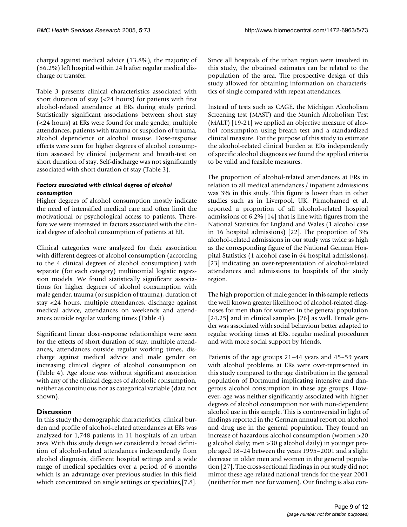charged against medical advice (13.8%), the majority of (86.2%) left hospital within 24 h after regular medical discharge or transfer.

Table 3 presents clinical characteristics associated with short duration of stay (<24 hours) for patients with first alcohol-related attendance at ERs during study period. Statistically significant associations between short stay (<24 hours) at ERs were found for male gender, multiple attendances, patients with trauma or suspicion of trauma, alcohol dependence or alcohol misuse. Dose-response effects were seen for higher degrees of alcohol consumption assessed by clinical judgement and breath-test on short duration of stay. Self-discharge was not significantly associated with short duration of stay (Table 3).

# *Factors associated with clinical degree of alcohol consumption*

Higher degrees of alcohol consumption mostly indicate the need of intensified medical care and often limit the motivational or psychological access to patients. Therefore we were interested in factors associated with the clinical degree of alcohol consumption of patients at ER.

Clinical categories were analyzed for their association with different degrees of alcohol consumption (according to the 4 clinical degrees of alcohol consumption) with separate (for each category) multinomial logistic regression models. We found statistically significant associations for higher degrees of alcohol consumption with male gender, trauma (or suspicion of trauma), duration of stay <24 hours, multiple attendances, discharge against medical advice, attendances on weekends and attendances outside regular working times (Table 4).

Significant linear dose-response relationships were seen for the effects of short duration of stay, multiple attendances, attendances outside regular working times, discharge against medical advice and male gender on increasing clinical degree of alcohol consumption on (Table 4). Age alone was without significant association with any of the clinical degrees of alcoholic consumption, neither as continuous nor as categorical variable (data not shown).

# **Discussion**

In this study the demographic characteristics, clinical burden and profile of alcohol-related attendances at ERs was analyzed for 1,748 patients in 11 hospitals of an urban area. With this study design we considered a broad definition of alcohol-related attendances independently from alcohol diagnosis, different hospital settings and a wide range of medical specialties over a period of 6 months which is an advantage over previous studies in this field which concentrated on single settings or specialties, [7,8].

Since all hospitals of the urban region were involved in this study, the obtained estimates can be related to the population of the area. The prospective design of this study allowed for obtaining information on characteristics of single compared with repeat attendances.

Instead of tests such as CAGE, the Michigan Alcoholism Screening test (MAST) and the Munich Alcoholism Test (MALT) [19-21] we applied an objective measure of alcohol consumption using breath test and a standardized clinical measure. For the purpose of this study to estimate the alcohol-related clinical burden at ERs independently of specific alcohol diagnoses we found the applied criteria to be valid and feasible measures.

The proportion of alcohol-related attendances at ERs in relation to all medical attendances / inpatient admissions was 3% in this study. This figure is lower than in other studies such as in Liverpool, UK: Pirmohamed et al. reported a proportion of all alcohol-related hospital admissions of 6.2% [14] that is line with figures from the National Statistics for England and Wales (1 alcohol case in 16 hospital admissions) [22]. The proportion of 3% alcohol-related admissions in our study was twice as high as the corresponding figure of the National German Hospital Statistics (1 alcohol case in 64 hospital admissions), [23] indicating an over-representation of alcohol-related attendances and admissions to hospitals of the study region.

The high proportion of male gender in this sample reflects the well known greater likelihood of alcohol-related diagnoses for men than for women in the general population [24,25] and in clinical samples [26] as well. Female gender was associated with social behaviour better adapted to regular working times at ERs, regular medical procedures and with more social support by friends.

Patients of the age groups 21–44 years and 45–59 years with alcohol problems at ERs were over-represented in this study compared to the age distribution in the general population of Dortmund implicating intensive and dangerous alcohol consumption in these age groups. However, age was neither significantly associated with higher degrees of alcohol consumption nor with non-dependent alcohol use in this sample. This is controversial in light of findings reported in the German annual report on alcohol and drug use in the general population. They found an increase of hazardous alcohol consumption (women >20 g alcohol daily; men >30 g alcohol daily) in younger people aged 18–24 between the years 1995–2001 and a slight decrease in older men and women in the general population [27]. The cross-sectional findings in our study did not mirror these age-related national trends for the year 2001 (neither for men nor for women). Our finding is also con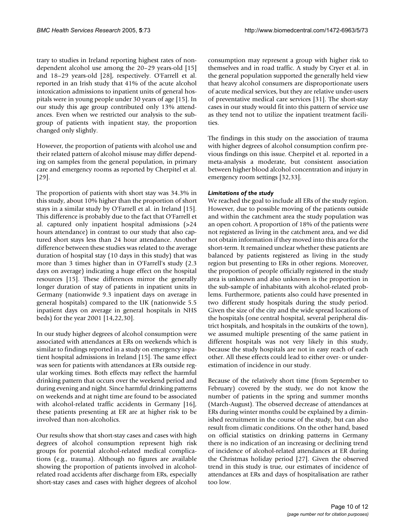trary to studies in Ireland reporting highest rates of nondependent alcohol use among the 20–29 years-old [15] and 18–29 years-old [28], respectively. O'Farrell et al. reported in an Irish study that 41% of the acute alcohol intoxication admissions to inpatient units of general hospitals were in young people under 30 years of age [15]. In our study this age group contributed only 13% attendances. Even when we restricted our analysis to the subgroup of patients with inpatient stay, the proportion changed only slightly.

However, the proportion of patients with alcohol use and their related pattern of alcohol misuse may differ depending on samples from the general population, in primary care and emergency rooms as reported by Cherpitel et al. [29].

The proportion of patients with short stay was 34.3% in this study, about 10% higher than the proportion of short stays in a similar study by O'Farrell et al. in Ireland [15]. This difference is probably due to the fact that O'Farrell et al. captured only inpatient hospital admissions (>24 hours attendance) in contrast to our study that also captured short stays less than 24 hour attendance. Another difference between these studies was related to the average duration of hospital stay (10 days in this study) that was more than 3 times higher than in O'Farrell's study (2.3 days on average) indicating a huge effect on the hospital resources [15]. These differences mirror the generally longer duration of stay of patients in inpatient units in Germany (nationwide 9.3 inpatient days on average in general hospitals) compared to the UK (nationwide 5.5 inpatient days on average in general hospitals in NHS beds) for the year 2001 [14,22,30].

In our study higher degrees of alcohol consumption were associated with attendances at ERs on weekends which is similar to findings reported in a study on emergency inpatient hospital admissions in Ireland [15]. The same effect was seen for patients with attendances at ERs outside regular working times. Both effects may reflect the harmful drinking pattern that occurs over the weekend period and during evening and night. Since harmful drinking patterns on weekends and at night time are found to be associated with alcohol-related traffic accidents in Germany [16], these patients presenting at ER are at higher risk to be involved than non-alcoholics.

Our results show that short-stay cases and cases with high degrees of alcohol consumption represent high risk groups for potential alcohol-related medical complications (e.g., trauma). Although no figures are available showing the proportion of patients involved in alcoholrelated road accidents after discharge from ERs, especially short-stay cases and cases with higher degrees of alcohol

consumption may represent a group with higher risk to themselves and in road traffic. A study by Cryer et al. in the general population supported the generally held view that heavy alcohol consumers are disproportionate users of acute medical services, but they are relative under-users of preventative medical care services [31]. The short-stay cases in our study would fit into this pattern of service use as they tend not to utilize the inpatient treatment facilities.

The findings in this study on the association of trauma with higher degrees of alcohol consumption confirm previous findings on this issue. Cherpitel et al. reported in a meta-analysis a moderate, but consistent association between higher blood alcohol concentration and injury in emergency room settings [32,33].

### *Limitations of the study*

We reached the goal to include all ERs of the study region. However, due to possible moving of the patients outside and within the catchment area the study population was an open cohort. A proportion of 18% of the patients were not registered as living in the catchment area, and we did not obtain information if they moved into this area for the short-term. It remained unclear whether these patients are balanced by patients registered as living in the study region but presenting to ERs in other regions. Moreover, the proportion of people officially registered in the study area is unknown and also unknown is the proportion in the sub-sample of inhabitants with alcohol-related problems. Furthermore, patients also could have presented in two different study hospitals during the study period. Given the size of the city and the wide spread locations of the hospitals (one central hospital, several peripheral district hospitals, and hospitals in the outskirts of the town), we assumed multiple presenting of the same patient in different hospitals was not very likely in this study, because the study hospitals are not in easy reach of each other. All these effects could lead to either over- or underestimation of incidence in our study.

Because of the relatively short time (from September to February) covered by the study, we do not know the number of patients in the spring and summer months (March-August). The observed decrease of attendances at ERs during winter months could be explained by a diminished recruitment in the course of the study, but can also result from climatic conditions. On the other hand, based on official statistics on drinking patterns in Germany there is no indication of an increasing or declining trend of incidence of alcohol-related attendances at ER during the Christmas holiday period [27]. Given the observed trend in this study is true, our estimates of incidence of attendances at ERs and days of hospitalisation are rather too low.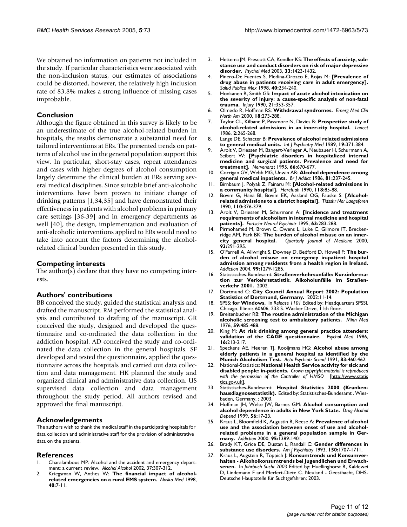We obtained no information on patients not included in the study. If particular characteristics were associated with the non-inclusion status, our estimates of associations could be distorted, however, the relatively high inclusion rate of 83.8% makes a strong influence of missing cases improbable.

#### **Conclusion**

Although the figure obtained in this survey is likely to be an underestimate of the true alcohol-related burden in hospitals, the results demonstrate a substantial need for tailored interventions at ERs. The presented trends on patterns of alcohol use in the general population support this view. In particular, short-stay cases, repeat attendances and cases with higher degrees of alcohol consumption largely determine the clinical burden at ERs serving several medical disciplines. Since suitable brief anti-alcoholic interventions have been proven to initiate change of drinking patterns [1,34,35] and have demonstrated their effectiveness in patients with alcohol problems in primary care settings [36-39] and in emergency departments as well [40], the design, implementation and evaluation of anti-alcoholic interventions applied to ERs would need to take into account the factors determining the alcoholrelated clinical burden presented in this study.

#### **Competing interests**

The author(s) declare that they have no competing interests.

#### **Authors' contributions**

BB conceived the study, guided the statistical analysis and drafted the manuscript. RM performed the statistical analysis and contributed to drafting of the manuscript. GR conceived the study, designed and developed the questionnaire and co-ordinated the data collection in the addiction hospital. AD conceived the study and co-ordinated the data collection in the general hospitals. SF developed and tested the questionnaire, applied the questionnaire across the hospitals and carried out data collection and data management. HK planned the study and organized clinical and administrative data collection. US supervised data collection and data management throughout the study period. All authors revised and approved the final manuscript.

#### **Acknowledgements**

The authors wish to thank the medical staff in the participating hospitals for data collection and administrative staff for the provision of administrative data on the patients.

#### **References**

- Charalambous MP: [Alcohol and the accident and emergency depart](http://www.ncbi.nlm.nih.gov/entrez/query.fcgi?cmd=Retrieve&db=PubMed&dopt=Abstract&list_uids=12107029)[ment: a current review.](http://www.ncbi.nlm.nih.gov/entrez/query.fcgi?cmd=Retrieve&db=PubMed&dopt=Abstract&list_uids=12107029) *Alcohol Alcohol* 2002, 37:307-312.
- Kriegsman W, Anthes W: [The financial impact of alcohol](http://www.ncbi.nlm.nih.gov/entrez/query.fcgi?cmd=Retrieve&db=PubMed&dopt=Abstract&list_uids=9592958)**[related emergencies on a rural EMS system.](http://www.ncbi.nlm.nih.gov/entrez/query.fcgi?cmd=Retrieve&db=PubMed&dopt=Abstract&list_uids=9592958)** *Alaska Med* 1998, **40:**7-11.
- 3. Hettema JM, Prescott CA, Kendler KS: **[The effects of anxiety, sub](http://www.ncbi.nlm.nih.gov/entrez/query.fcgi?cmd=Retrieve&db=PubMed&dopt=Abstract&list_uids=14672251)[stance use and conduct disorders on risk of major depressive](http://www.ncbi.nlm.nih.gov/entrez/query.fcgi?cmd=Retrieve&db=PubMed&dopt=Abstract&list_uids=14672251) [disorder.](http://www.ncbi.nlm.nih.gov/entrez/query.fcgi?cmd=Retrieve&db=PubMed&dopt=Abstract&list_uids=14672251)** *Psychol Med* 2003, **33:**1423-1432.
- 4. Pinero-De Fuentes S, Medina-Orozco E, Rojas M: **[\[Prevalence of](http://www.ncbi.nlm.nih.gov/entrez/query.fcgi?cmd=Retrieve&db=PubMed&dopt=Abstract&list_uids=9670784) [drug abuse in patients receiving care in adult emergency\].](http://www.ncbi.nlm.nih.gov/entrez/query.fcgi?cmd=Retrieve&db=PubMed&dopt=Abstract&list_uids=9670784)** *Salud Publica Mex* 1998, **40:**234-240.
- 5. Honkanen R, Smith GS: **[Impact of acute alcohol intoxication on](http://www.ncbi.nlm.nih.gov/entrez/query.fcgi?cmd=Retrieve&db=PubMed&dopt=Abstract&list_uids=2276795) [the severity of injury: a cause-specific analysis of non-fatal](http://www.ncbi.nlm.nih.gov/entrez/query.fcgi?cmd=Retrieve&db=PubMed&dopt=Abstract&list_uids=2276795) [trauma.](http://www.ncbi.nlm.nih.gov/entrez/query.fcgi?cmd=Retrieve&db=PubMed&dopt=Abstract&list_uids=2276795)** *Injury* 1990, **21:**353-357.
- 6. Olmedo R, Hoffman RS: **[Withdrawal syndromes.](http://www.ncbi.nlm.nih.gov/entrez/query.fcgi?cmd=Retrieve&db=PubMed&dopt=Abstract&list_uids=10767884)** *Emerg Med Clin North Am* 2000, **18:**273-288.
- 7. Taylor CL, Kilbane P, Passmore N, Davies R: **[Prospective study of](http://www.ncbi.nlm.nih.gov/entrez/query.fcgi?cmd=Retrieve&db=PubMed&dopt=Abstract&list_uids=2874288) [alcohol-related admissions in an inner-city hospital.](http://www.ncbi.nlm.nih.gov/entrez/query.fcgi?cmd=Retrieve&db=PubMed&dopt=Abstract&list_uids=2874288)** *Lancet* 1986, **2:**265-268.
- 8. Lange DE, Schacter B: **[Prevalence of alcohol related admissions](http://www.ncbi.nlm.nih.gov/entrez/query.fcgi?cmd=Retrieve&db=PubMed&dopt=Abstract&list_uids=2630510) [to general medical units.](http://www.ncbi.nlm.nih.gov/entrez/query.fcgi?cmd=Retrieve&db=PubMed&dopt=Abstract&list_uids=2630510)** *Int J Psychiatry Med* 1989, **19:**371-384.
- 9. Arolt V, Driessen M, Bangert-Verleger A, Neubauer H, Schurmann A, Seibert W: **[\[Psychiatric disorders in hospitalized internal](http://www.ncbi.nlm.nih.gov/entrez/query.fcgi?cmd=Retrieve&db=PubMed&dopt=Abstract&list_uids=7477604) [medicine and surgical patients. Prevalence and need for](http://www.ncbi.nlm.nih.gov/entrez/query.fcgi?cmd=Retrieve&db=PubMed&dopt=Abstract&list_uids=7477604) [treatment\].](http://www.ncbi.nlm.nih.gov/entrez/query.fcgi?cmd=Retrieve&db=PubMed&dopt=Abstract&list_uids=7477604)** *Nervenarzt* 1995, **66:**670-677.
- 10. Corrigan GV, Webb MG, Unwin AR: **[Alcohol dependence among](http://www.ncbi.nlm.nih.gov/entrez/query.fcgi?cmd=Retrieve&db=PubMed&dopt=Abstract&list_uids=3458492) [general medical inpatients.](http://www.ncbi.nlm.nih.gov/entrez/query.fcgi?cmd=Retrieve&db=PubMed&dopt=Abstract&list_uids=3458492)** *Br J Addict* 1986, **81:**237-245.
- 11. Birnbaum J, Polyak Z, Fainaru M: **[\[Alcohol-related admissions in](http://www.ncbi.nlm.nih.gov/entrez/query.fcgi?cmd=Retrieve&db=PubMed&dopt=Abstract&list_uids=2312009) [a community hospital\].](http://www.ncbi.nlm.nih.gov/entrez/query.fcgi?cmd=Retrieve&db=PubMed&dopt=Abstract&list_uids=2312009)** *Harefuah* 1990, **118:**85-88.
- 12. Bovim G, Hana BI, Bovim EK, Aasland OG, Fauske S: **[\[Alcohol](http://www.ncbi.nlm.nih.gov/entrez/query.fcgi?cmd=Retrieve&db=PubMed&dopt=Abstract&list_uids=2309184)[related admissions to a district hospital\].](http://www.ncbi.nlm.nih.gov/entrez/query.fcgi?cmd=Retrieve&db=PubMed&dopt=Abstract&list_uids=2309184)** *Tidsskr Nor Laegeforen* 1990, **110:**376-379.
- 13. Arolt V, Driessen M, Schurmann A: **[\[Incidence and treatment](http://www.ncbi.nlm.nih.gov/entrez/query.fcgi?cmd=Retrieve&db=PubMed&dopt=Abstract&list_uids=7672752) [requirements of alcoholism in internal medicine and hospital](http://www.ncbi.nlm.nih.gov/entrez/query.fcgi?cmd=Retrieve&db=PubMed&dopt=Abstract&list_uids=7672752) [patients\].](http://www.ncbi.nlm.nih.gov/entrez/query.fcgi?cmd=Retrieve&db=PubMed&dopt=Abstract&list_uids=7672752)** *Fortschr Neurol Psychiatr* 1995, **63:**283-288.
- 14. Pirmohamed M, Brown C, Owens L, Luke C, Gilmore IT, Breckenridge AM, Park BK: **The burden of alcohol misuse on an innercity general hospital.** *Quarterly Journal of Medicine* 2000, **93:**291-295.
- 15. O'Farrell A, Allwright S, Downey D, Bedford D, Howell F: **[The bur](http://www.ncbi.nlm.nih.gov/entrez/query.fcgi?cmd=Retrieve&db=PubMed&dopt=Abstract&list_uids=15369566)den of alcohol misuse on emergency in-patient hospital [admission among residents from a health region in Ireland.](http://www.ncbi.nlm.nih.gov/entrez/query.fcgi?cmd=Retrieve&db=PubMed&dopt=Abstract&list_uids=15369566)** *Addiction* 2004, **99:**1279-1285.
- 16. Statistisches-Bundesamt: **Straßenverkehrsunfälle: Kurzinformation zur Verkehrsstatistik. Alkoholunfälle im Straßenverkehr 2001.** 2002.
- 17. Dortmund C: **City Council Annual Report 2002: Population Statistics of Dortmund, Germany.** 2002:11-14.
- 18. SPSS: **for Windows.** In *Release 1101* Edited by: Headquarters SPSSI. Chicago, Illinois 60606, 233 S. Wacker Drive, 11th floor.
- 19. Breitenbucher RB: **[The routine administration of the Michigan](http://www.ncbi.nlm.nih.gov/entrez/query.fcgi?cmd=Retrieve&db=PubMed&dopt=Abstract&list_uids=1272232) [alcoholic screening test to ambulatory patients.](http://www.ncbi.nlm.nih.gov/entrez/query.fcgi?cmd=Retrieve&db=PubMed&dopt=Abstract&list_uids=1272232)** *Minn Med* 1976, **59:**485-488.
- 20. King M: **[At risk drinking among general practice attenders:](http://www.ncbi.nlm.nih.gov/entrez/query.fcgi?cmd=Retrieve&db=PubMed&dopt=Abstract&list_uids=3961046) [validation of the CAGE questionnaire.](http://www.ncbi.nlm.nih.gov/entrez/query.fcgi?cmd=Retrieve&db=PubMed&dopt=Abstract&list_uids=3961046)** *Psychol Med* 1986, **16:**213-217.
- 21. Speckens AE, Heeren TJ, Rooijmans HG: **[Alcohol abuse among](http://www.ncbi.nlm.nih.gov/entrez/query.fcgi?cmd=Retrieve&db=PubMed&dopt=Abstract&list_uids=1882699) [elderly patients in a general hospital as identified by the](http://www.ncbi.nlm.nih.gov/entrez/query.fcgi?cmd=Retrieve&db=PubMed&dopt=Abstract&list_uids=1882699) [Munich Alcoholism Test.](http://www.ncbi.nlm.nih.gov/entrez/query.fcgi?cmd=Retrieve&db=PubMed&dopt=Abstract&list_uids=1882699)** *Acta Psychiatr Scand* 1991, **83:**460-462.
- 22. National-Statistics: **National Health Service activity for sick and disabled people: in-patients.** *Crown copyright material is reproduced with the permission of the Controller of HMSO* [[http://www.statis](http://www.statistics.gov.uk) [tics.gov.uk\]](http://www.statistics.gov.uk).
- 23. Statistisches-Bundesamt: **Hospital Statistics 2000 (Krankenhausdiagnosestatistik).** Edited by: Statistisches-Bundesamt . Wiesbaden, Germany, ; 2003.
- 24. Hoffman JH, Welte JW, Barnes GM: **[Alcohol consumption and](http://www.ncbi.nlm.nih.gov/entrez/query.fcgi?cmd=Retrieve&db=PubMed&dopt=Abstract&list_uids=10462088) [alcohol dependence in adults in New York State.](http://www.ncbi.nlm.nih.gov/entrez/query.fcgi?cmd=Retrieve&db=PubMed&dopt=Abstract&list_uids=10462088)** *Drug Alcohol Depend* 1999, **56:**17-23.
- 25. Kraus L, Bloomfield K, Augustin R, Reese A: **[Prevalence of alcohol](http://www.ncbi.nlm.nih.gov/entrez/query.fcgi?cmd=Retrieve&db=PubMed&dopt=Abstract&list_uids=11048357) use and the association between onset of use and alcohol[related problems in a general population sample in Ger](http://www.ncbi.nlm.nih.gov/entrez/query.fcgi?cmd=Retrieve&db=PubMed&dopt=Abstract&list_uids=11048357)[many.](http://www.ncbi.nlm.nih.gov/entrez/query.fcgi?cmd=Retrieve&db=PubMed&dopt=Abstract&list_uids=11048357)** *Addiction* 2000, **95:**1389-1401.
- 26. Brady KT, Grice DE, Dustan L, Randall C: **[Gender differences in](http://www.ncbi.nlm.nih.gov/entrez/query.fcgi?cmd=Retrieve&db=PubMed&dopt=Abstract&list_uids=8214180) [substance use disorders.](http://www.ncbi.nlm.nih.gov/entrez/query.fcgi?cmd=Retrieve&db=PubMed&dopt=Abstract&list_uids=8214180)** *Am J Psychiatry* 1993, **150:**1707-1711.
- 27. Kraus L, Augstein R, Töppich J: **Konsumtrends und Konsumverhalten - Alkoholkonsumtrends bei Jugendlichen und Erwachsenen.** In *Jahrbuch Sucht 2003* Edited by: Huellinghorst R, Kaldewei D, Lindemann F and Merfert-Diete C. Neuland - Geesthacht, DHS-Deutsche Hauptstelle für Suchtgefahren; 2003.